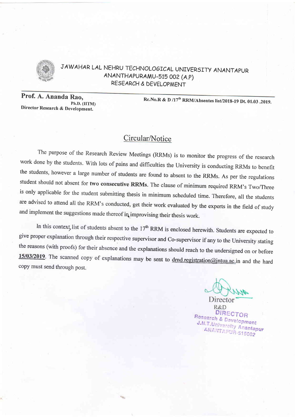

JAW AHAR LAL NEHRU TECHNOLOGICAL UNIVERSITY ANANTAPUR ANANTHAPURAMU\_515 OO2 (A.P) RE5EARCH & DEVELOPMENT

Prof. A. Ananda Rao, Ph.D. (IITM)<br>Director Research & Development.

Rc.No.R & D /17<sup>th</sup> RRM/Absentes list/2018-19 Dt. 01.03 .2019.

## Circular/Notice

The purpose of the Research Review Meetings (RRMs) is to monitor the progress of the research work done by the students. With lots of pains and difficulties the University is conducting RRMs to benefit the students, however a large number of students are found to absent to the RRMs. As per the regulations student should not absent for two consecutive RRMs. The clause of minimum required RRM's Two/Three is only applicable for the student submitting thesis in minimum scheduled time. Therefore, all the students are advised to attend all the RRM's conducted, get their work evaluated by the experts in the field of study and implement the suggestions made thereof in improvising their thesis work.

In this context, list of students absent to the  $17<sup>th</sup>$  RRM is enclosed herewith. Students are expected to give proper explanation through their respective supervisor and Co-supervisor if any to the University stating the reasons (with proofs) for their absence and the explanations should reach to the undersigned on or before 15/03/2019. The scanned copy of explanations may be sent to drnd.registration@intua.ac.in and the hard copy must send through post.

Director R&D DIRECTOR **Research & Development**<br>J.N.T.University J.N.T.University Anantapur ANANTAPUR-515002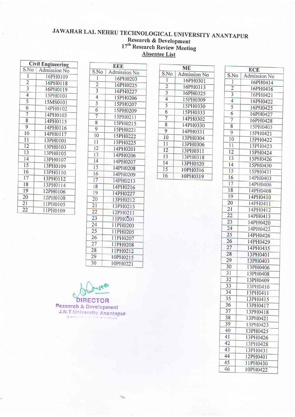## JAWAHAR LAL NEHRU TECHNOLOGICAL UNIVERSITY ANANTAPUR Research & Development 17" Research Review Meeting Absentee List

| <b>Civil Engineering</b> |                     |
|--------------------------|---------------------|
| S.No                     | <b>Admission No</b> |
| $\overline{1}$           | 16PH0109            |
| $\overline{2}$           | 16PH0118            |
| $\overline{\mathbf{3}}$  | 16PH0119            |
| 4                        | 15PH0101            |
| 5                        | 15MS0101            |
| 6                        | 14PH0102            |
| $\overline{7}$           | 14PH0103            |
| 8                        | 14PH0115            |
| 9                        | 14PH0116            |
| 10                       | 14PH0117            |
| 11                       | 13PH0101            |
| 12                       | 13PH0103            |
| 13                       | 13PH0105            |
| 14                       | 13PH0107            |
| 15                       | 13PH0109            |
| 16                       | 13PH0110            |
| 17                       | 13PH0112            |
| 18                       | 13PH0114            |
| 19                       | 12PH0106            |
| 20                       | 12PH0108            |
| 21                       | 11PH0105            |
| 22                       | 11PH0109            |

| EEE             |              |  |
|-----------------|--------------|--|
| S.No            | Admission No |  |
| 1               | 16PH0203     |  |
| $\overline{2}$  | 16PH0225     |  |
| $\overline{3}$  | 16PH0227     |  |
| $\overline{4}$  | 15PH0206     |  |
| 5               | 15PH0207     |  |
| 6               | 15PH0209     |  |
| $\overline{7}$  | 15PH0211     |  |
| 8               | 15PH0215     |  |
| 9               | 15PH0221     |  |
| 10              | 15PH0222     |  |
| 11              | 15PH0225     |  |
| 12              | 14PH0201     |  |
| 13              | 14PH0206     |  |
| 14              | 14PH0207     |  |
| 15              | 14PH0208     |  |
| 16              | 14PH0209     |  |
| 17              | 14PH0213     |  |
| 18              | 14PH0216     |  |
| 19              | 14PH0227     |  |
| $\overline{20}$ | 13PH0212     |  |
| 21              | 13PH0215     |  |
| 22              | 12PH0211     |  |
| $\overline{23}$ | 11PH0201     |  |
| 24              | 11PH0203     |  |
| 25              | 11PH0205     |  |
| $\overline{26}$ | 11PH0207     |  |
| 27              | 11PH0208     |  |
| 28              | 11PH0212     |  |
| 29              | 10PH0215     |  |
| 30              | 10PH0221     |  |

|                | MЕ           |
|----------------|--------------|
| S.No           | Admission No |
| $\mathbf{1}$   | 16PH0301     |
| $\overline{2}$ | 16PH0313     |
| $\overline{3}$ | 16PH0325     |
| $\overline{4}$ | 15PH0309     |
| 5              | 15PH0330     |
| 6              | 15PH0333     |
| $\overline{7}$ | 14PH0302     |
| 8              | 14PH0330     |
| 9              | 14PH0331     |
| 10             | 13PH0304     |
| 11             | 13PH0306     |
| 12             | 13PH0311     |
| 13             | 13PH0318     |
| 14             | 13PH0320     |
| 15             | 10PH0316     |
| 16             | 10PH0319     |

|                 | <b>ECE</b>          |  |  |
|-----------------|---------------------|--|--|
| S.No            | <b>Admission No</b> |  |  |
| $\overline{1}$  | 16PH0414            |  |  |
| $\overline{2}$  | 16PH0416            |  |  |
| $\overline{3}$  | 16PH0421            |  |  |
| $\overline{4}$  | 16PH0422            |  |  |
| $\overline{5}$  | 16PH0425            |  |  |
| 6               | 16PH0427            |  |  |
| $\overline{7}$  | 16PH0428            |  |  |
| 8               | 15PH0403            |  |  |
| 9               | 15PH0421            |  |  |
| 10              | 15PH0422            |  |  |
| $\overline{11}$ | 15PH0423            |  |  |
| $\overline{12}$ | 15PH0424            |  |  |
| 13              | 15PH0426            |  |  |
| 14              | 15PH0430            |  |  |
| 15              | 15PH0431            |  |  |
| 16              | 14PH0403            |  |  |
| $\overline{17}$ | 14PH0406            |  |  |
| 18              | 14PH0408            |  |  |
| 19              | 14PH0410            |  |  |
| 20              | 14PH0411            |  |  |
| 21              | 14PH0412            |  |  |
| 22              | 14PH0413            |  |  |
| 23              | 14PH0420            |  |  |
| 24              | 14PH0422            |  |  |
| $\overline{25}$ | 14PH0426            |  |  |
| 26              | 14PH0429            |  |  |
| 27              | 14PH0435            |  |  |
| 28              | 13PH0401            |  |  |
| 29              | 13PH0403            |  |  |
| 30              | 13PH0406            |  |  |
| $\overline{31}$ | 13PH0408            |  |  |
| $\overline{32}$ | 13PH0409            |  |  |
| 33              | 13PH0410            |  |  |
| 34              | 13PH0411            |  |  |
| 35              | 13PH0415            |  |  |
| 36              | 13PH0417            |  |  |
| 37              | 13PH0418            |  |  |
| 38              | 13PH0421            |  |  |
| 39              | 13PH0423            |  |  |
| 40              | 13PH0425            |  |  |
| 41              | 13PH0426            |  |  |
| 42              | 13PH0428            |  |  |
| 43              | 13PH0431            |  |  |
| 44              | 12PH0401            |  |  |
| 45              | 11PH0430            |  |  |
| 46              | 10PH0422            |  |  |
|                 |                     |  |  |

**DIRECTOR Research & Development** J.N.T.University Anantapur